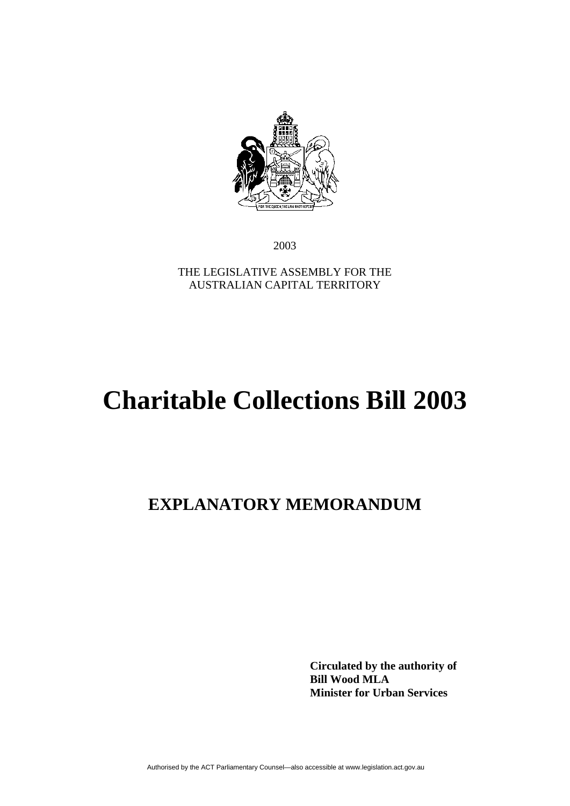

2003

THE LEGISLATIVE ASSEMBLY FOR THE AUSTRALIAN CAPITAL TERRITORY

# **Charitable Collections Bill 2003**

# **EXPLANATORY MEMORANDUM**

**Circulated by the authority of Bill Wood MLA Minister for Urban Services**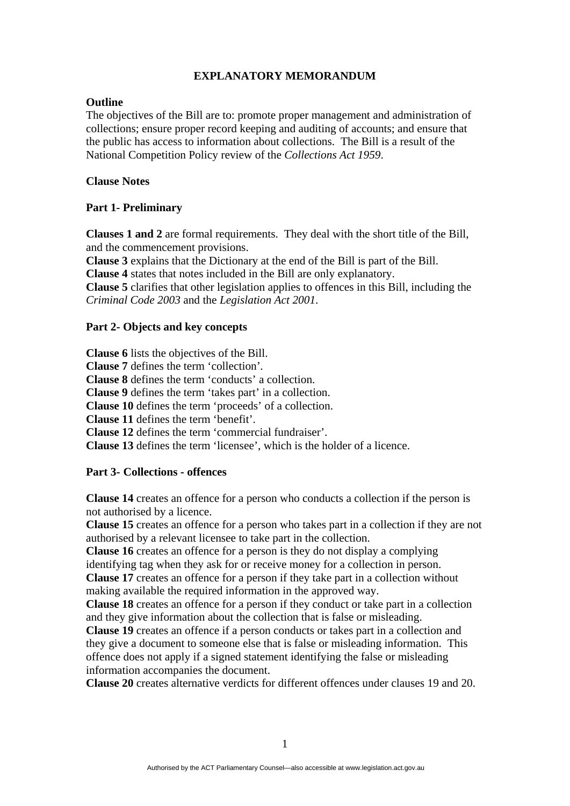# **EXPLANATORY MEMORANDUM**

#### **Outline**

The objectives of the Bill are to: promote proper management and administration of collections; ensure proper record keeping and auditing of accounts; and ensure that the public has access to information about collections. The Bill is a result of the National Competition Policy review of the *Collections Act 1959*.

# **Clause Notes**

# **Part 1- Preliminary**

**Clauses 1 and 2** are formal requirements. They deal with the short title of the Bill, and the commencement provisions.

**Clause 3** explains that the Dictionary at the end of the Bill is part of the Bill.

**Clause 4** states that notes included in the Bill are only explanatory.

**Clause 5** clarifies that other legislation applies to offences in this Bill, including the *Criminal Code 2003* and the *Legislation Act 2001*.

# **Part 2- Objects and key concepts**

**Clause 6** lists the objectives of the Bill. **Clause 7** defines the term 'collection'*.* **Clause 8** defines the term 'conducts' a collection. **Clause 9** defines the term 'takes part' in a collection. **Clause 10** defines the term 'proceeds' of a collection. **Clause 11** defines the term 'benefit'. **Clause 12** defines the term 'commercial fundraiser'. **Clause 13** defines the term 'licensee', which is the holder of a licence.

# **Part 3- Collections - offences**

**Clause 14** creates an offence for a person who conducts a collection if the person is not authorised by a licence.

**Clause 15** creates an offence for a person who takes part in a collection if they are not authorised by a relevant licensee to take part in the collection.

**Clause 16** creates an offence for a person is they do not display a complying identifying tag when they ask for or receive money for a collection in person.

**Clause 17** creates an offence for a person if they take part in a collection without making available the required information in the approved way.

**Clause 18** creates an offence for a person if they conduct or take part in a collection and they give information about the collection that is false or misleading.

**Clause 19** creates an offence if a person conducts or takes part in a collection and they give a document to someone else that is false or misleading information. This offence does not apply if a signed statement identifying the false or misleading information accompanies the document.

**Clause 20** creates alternative verdicts for different offences under clauses 19 and 20.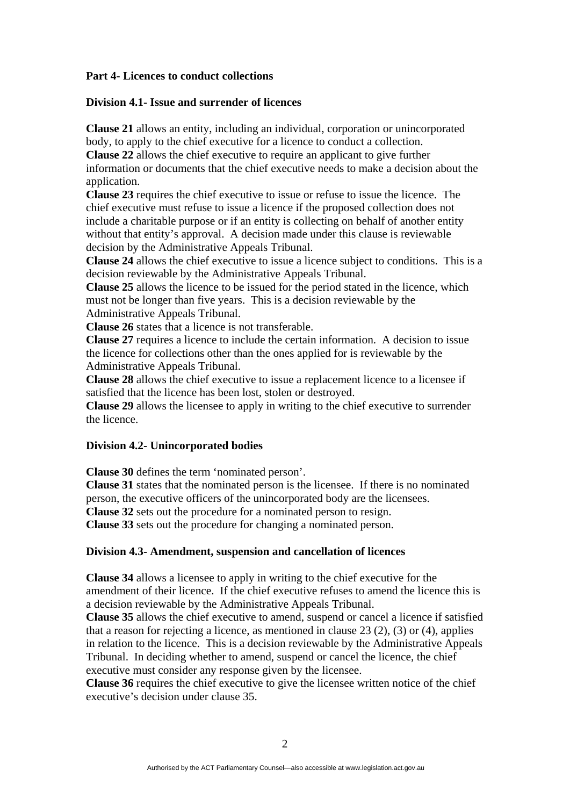#### **Part 4- Licences to conduct collections**

#### **Division 4.1- Issue and surrender of licences**

**Clause 21** allows an entity, including an individual, corporation or unincorporated body, to apply to the chief executive for a licence to conduct a collection.

**Clause 22** allows the chief executive to require an applicant to give further information or documents that the chief executive needs to make a decision about the application.

**Clause 23** requires the chief executive to issue or refuse to issue the licence. The chief executive must refuse to issue a licence if the proposed collection does not include a charitable purpose or if an entity is collecting on behalf of another entity without that entity's approval. A decision made under this clause is reviewable decision by the Administrative Appeals Tribunal.

**Clause 24** allows the chief executive to issue a licence subject to conditions. This is a decision reviewable by the Administrative Appeals Tribunal.

**Clause 25** allows the licence to be issued for the period stated in the licence, which must not be longer than five years. This is a decision reviewable by the Administrative Appeals Tribunal.

**Clause 26** states that a licence is not transferable.

**Clause 27** requires a licence to include the certain information. A decision to issue the licence for collections other than the ones applied for is reviewable by the Administrative Appeals Tribunal.

**Clause 28** allows the chief executive to issue a replacement licence to a licensee if satisfied that the licence has been lost, stolen or destroyed.

**Clause 29** allows the licensee to apply in writing to the chief executive to surrender the licence.

#### **Division 4.2- Unincorporated bodies**

**Clause 30** defines the term 'nominated person'.

**Clause 31** states that the nominated person is the licensee. If there is no nominated person, the executive officers of the unincorporated body are the licensees.

**Clause 32** sets out the procedure for a nominated person to resign.

**Clause 33** sets out the procedure for changing a nominated person.

# **Division 4.3- Amendment, suspension and cancellation of licences**

**Clause 34** allows a licensee to apply in writing to the chief executive for the amendment of their licence. If the chief executive refuses to amend the licence this is a decision reviewable by the Administrative Appeals Tribunal.

**Clause 35** allows the chief executive to amend, suspend or cancel a licence if satisfied that a reason for rejecting a licence, as mentioned in clause  $23(2)$ ,  $(3)$  or  $(4)$ , applies in relation to the licence. This is a decision reviewable by the Administrative Appeals Tribunal. In deciding whether to amend, suspend or cancel the licence, the chief executive must consider any response given by the licensee.

**Clause 36** requires the chief executive to give the licensee written notice of the chief executive's decision under clause 35.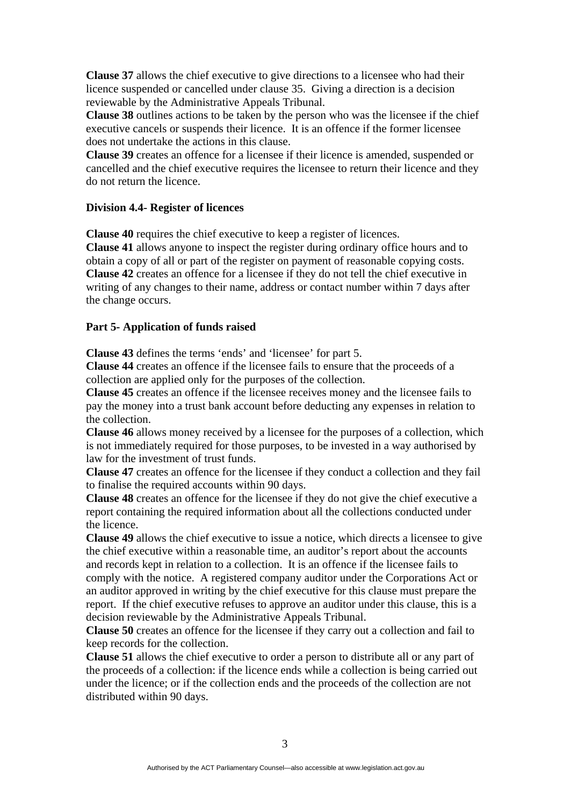**Clause 37** allows the chief executive to give directions to a licensee who had their licence suspended or cancelled under clause 35. Giving a direction is a decision reviewable by the Administrative Appeals Tribunal.

**Clause 38** outlines actions to be taken by the person who was the licensee if the chief executive cancels or suspends their licence. It is an offence if the former licensee does not undertake the actions in this clause.

**Clause 39** creates an offence for a licensee if their licence is amended, suspended or cancelled and the chief executive requires the licensee to return their licence and they do not return the licence.

# **Division 4.4- Register of licences**

**Clause 40** requires the chief executive to keep a register of licences.

**Clause 41** allows anyone to inspect the register during ordinary office hours and to obtain a copy of all or part of the register on payment of reasonable copying costs. **Clause 42** creates an offence for a licensee if they do not tell the chief executive in writing of any changes to their name, address or contact number within 7 days after the change occurs.

#### **Part 5- Application of funds raised**

**Clause 43** defines the terms 'ends' and 'licensee' for part 5.

**Clause 44** creates an offence if the licensee fails to ensure that the proceeds of a collection are applied only for the purposes of the collection.

**Clause 45** creates an offence if the licensee receives money and the licensee fails to pay the money into a trust bank account before deducting any expenses in relation to the collection.

**Clause 46** allows money received by a licensee for the purposes of a collection, which is not immediately required for those purposes, to be invested in a way authorised by law for the investment of trust funds.

**Clause 47** creates an offence for the licensee if they conduct a collection and they fail to finalise the required accounts within 90 days.

**Clause 48** creates an offence for the licensee if they do not give the chief executive a report containing the required information about all the collections conducted under the licence.

**Clause 49** allows the chief executive to issue a notice, which directs a licensee to give the chief executive within a reasonable time, an auditor's report about the accounts and records kept in relation to a collection. It is an offence if the licensee fails to comply with the notice. A registered company auditor under the Corporations Act or an auditor approved in writing by the chief executive for this clause must prepare the report. If the chief executive refuses to approve an auditor under this clause, this is a decision reviewable by the Administrative Appeals Tribunal.

**Clause 50** creates an offence for the licensee if they carry out a collection and fail to keep records for the collection.

**Clause 51** allows the chief executive to order a person to distribute all or any part of the proceeds of a collection: if the licence ends while a collection is being carried out under the licence; or if the collection ends and the proceeds of the collection are not distributed within 90 days.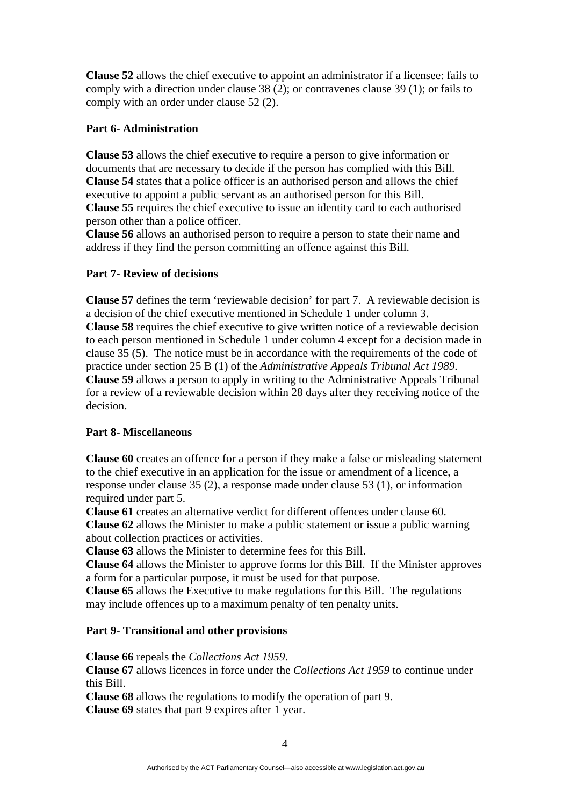**Clause 52** allows the chief executive to appoint an administrator if a licensee: fails to comply with a direction under clause 38 (2); or contravenes clause 39 (1); or fails to comply with an order under clause 52 (2).

# **Part 6- Administration**

**Clause 53** allows the chief executive to require a person to give information or documents that are necessary to decide if the person has complied with this Bill. **Clause 54** states that a police officer is an authorised person and allows the chief executive to appoint a public servant as an authorised person for this Bill. **Clause 55** requires the chief executive to issue an identity card to each authorised person other than a police officer.

**Clause 56** allows an authorised person to require a person to state their name and address if they find the person committing an offence against this Bill.

# **Part 7- Review of decisions**

**Clause 57** defines the term 'reviewable decision' for part 7. A reviewable decision is a decision of the chief executive mentioned in Schedule 1 under column 3. **Clause 58** requires the chief executive to give written notice of a reviewable decision to each person mentioned in Schedule 1 under column 4 except for a decision made in clause 35 (5). The notice must be in accordance with the requirements of the code of practice under section 25 B (1) of the *Administrative Appeals Tribunal Act 1989*. **Clause 59** allows a person to apply in writing to the Administrative Appeals Tribunal for a review of a reviewable decision within 28 days after they receiving notice of the decision.

# **Part 8- Miscellaneous**

**Clause 60** creates an offence for a person if they make a false or misleading statement to the chief executive in an application for the issue or amendment of a licence, a response under clause 35 (2), a response made under clause 53 (1), or information required under part 5.

**Clause 61** creates an alternative verdict for different offences under clause 60. **Clause 62** allows the Minister to make a public statement or issue a public warning about collection practices or activities.

**Clause 63** allows the Minister to determine fees for this Bill.

**Clause 64** allows the Minister to approve forms for this Bill. If the Minister approves a form for a particular purpose, it must be used for that purpose.

**Clause 65** allows the Executive to make regulations for this Bill. The regulations may include offences up to a maximum penalty of ten penalty units.

# **Part 9- Transitional and other provisions**

# **Clause 66** repeals the *Collections Act 1959*.

**Clause 67** allows licences in force under the *Collections Act 1959* to continue under this Bill.

**Clause 68** allows the regulations to modify the operation of part 9. **Clause 69** states that part 9 expires after 1 year.